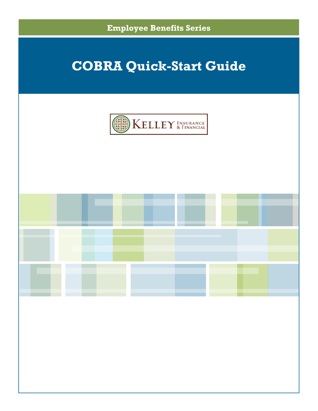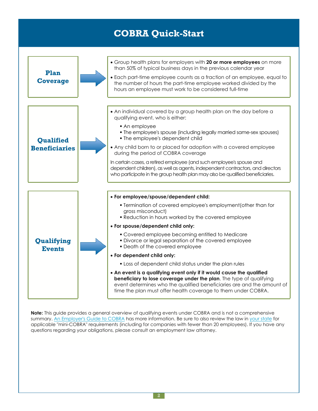| Plan<br><b>Coverage</b>           | • Group health plans for employers with 20 or more employees on more<br>than 50% of typical business days in the previous calendar year<br>• Each part-time employee counts as a fraction of an employee, equal to<br>the number of hours the part-time employee worked divided by the<br>hours an employee must work to be considered full-time                                                                                                                                                                                                                                                                                                                                                                                                              |
|-----------------------------------|---------------------------------------------------------------------------------------------------------------------------------------------------------------------------------------------------------------------------------------------------------------------------------------------------------------------------------------------------------------------------------------------------------------------------------------------------------------------------------------------------------------------------------------------------------------------------------------------------------------------------------------------------------------------------------------------------------------------------------------------------------------|
| Qualified<br><b>Beneficiaries</b> | • An individual covered by a group health plan on the day before a<br>qualifying event, who is either:<br>• An employee<br>• The employee's spouse (including legally married same-sex spouses)<br>. The employee's dependent child<br>• Any child born to or placed for adoption with a covered employee<br>during the period of COBRA coverage<br>In certain cases, a retired employee (and such employee's spouse and<br>dependent children), as well as agents, independent contractors, and directors<br>who participate in the group health plan may also be qualified beneficiaries.                                                                                                                                                                   |
| Qualifying<br><b>Events</b>       | • For employee/spouse/dependent child:<br>• Termination of covered employee's employment (other than for<br>gross misconduct)<br>. Reduction in hours worked by the covered employee<br>• For spouse/dependent child only:<br>• Covered employee becoming entitled to Medicare<br>· Divorce or legal separation of the covered employee<br>• Death of the covered employee<br>• For dependent child only:<br>. Loss of dependent child status under the plan rules<br>• An event is a qualifying event only if it would cause the qualified<br>beneficiary to lose coverage under the plan. The type of qualifying<br>event determines who the qualified beneficiaries are and the amount of<br>time the plan must offer health coverage to them under COBRA. |

**Note:** This guide provides a general overview of qualifying events under COBRA and is not a comprehensive summary. An [Employer's](http://www.dol.gov/ebsa/publications/cobraemployer.html) Guide to COBRA has more information. Be sure to also review the law in your [state](http://www.naic.org/state_web_map.htm) for applicable "mini-COBRA" requirements (including for companies with fewer than 20 employees). If you have any questions regarding your obligations, please consult an employment law attorney.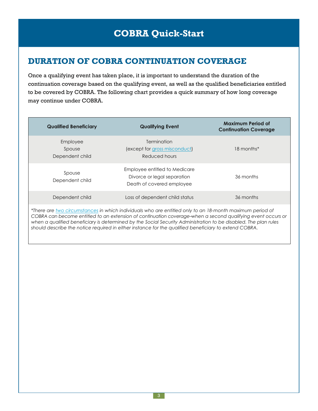### **DURATION OF COBRA CONTINUATION COVERAGE**

Once a qualifying event has taken place, it is important to understand the duration of the continuation coverage based on the qualifying event, as well as the qualified beneficiaries entitled to be covered by COBRA. The following chart provides a quick summary of how long coverage may continue under COBRA.

| <b>Qualified Beneficiary</b>                                                                                                                                                                                                                                                                                                                                                                                                                        | <b>Qualifying Event</b>                                                                   | <b>Maximum Period of</b><br><b>Continuation Coverage</b> |  |  |
|-----------------------------------------------------------------------------------------------------------------------------------------------------------------------------------------------------------------------------------------------------------------------------------------------------------------------------------------------------------------------------------------------------------------------------------------------------|-------------------------------------------------------------------------------------------|----------------------------------------------------------|--|--|
| Employee<br>Spouse<br>Dependent child                                                                                                                                                                                                                                                                                                                                                                                                               | <b>Termination</b><br>(except for gross misconduct)<br>Reduced hours                      | 18 months*                                               |  |  |
| Spouse<br>Dependent child                                                                                                                                                                                                                                                                                                                                                                                                                           | Employee entitled to Medicare<br>Divorce or legal separation<br>Death of covered employee | 36 months                                                |  |  |
| Dependent child                                                                                                                                                                                                                                                                                                                                                                                                                                     | Loss of dependent child status                                                            | 36 months                                                |  |  |
| *There are two circumstances in which individuals who are entitled only to an 18-month maximum period of<br>COBRA can become entitled to an extension of continuation coverage-when a second qualifying event occurs or<br>when a qualified beneficiary is determined by the Social Security Administration to be disabled. The plan rules<br>should describe the notice required in either instance for the qualified beneficiary to extend COBRA. |                                                                                           |                                                          |  |  |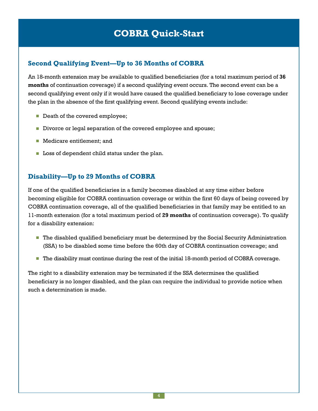### **Second Qualifying Event—Up to 36 Months of COBRA**

An 18-month extension may be available to qualified beneficiaries (for a total maximum period of **36 months** of continuation coverage) if a second qualifying event occurs. The second event can be a second qualifying event only if it would have caused the qualified beneficiary to lose coverage under the plan in the absence of the first qualifying event. Second qualifying events include:

- Death of the covered employee;
- Divorce or legal separation of the covered employee and spouse;
- Medicare entitlement: and
- **Loss of dependent child status under the plan.**

### **Disability—Up to 29 Months of COBRA**

If one of the qualified beneficiaries in a family becomes disabled at any time either before becoming eligible for COBRA continuation coverage or within the first 60 days of being covered by COBRA continuation coverage, all of the qualified beneficiaries in that family may be entitled to an 11-month extension (for a total maximum period of **29 months** of continuation coverage). To qualify for a disability extension:

- The disabled qualified beneficiary must be determined by the Social Security Administration (SSA) to be disabled some time before the 60th day of COBRA continuation coverage; and
- The disability must continue during the rest of the initial 18-month period of COBRA coverage.

The right to a disability extension may be terminated if the SSA determines the qualified beneficiary is no longer disabled, and the plan can require the individual to provide notice when such a determination is made.